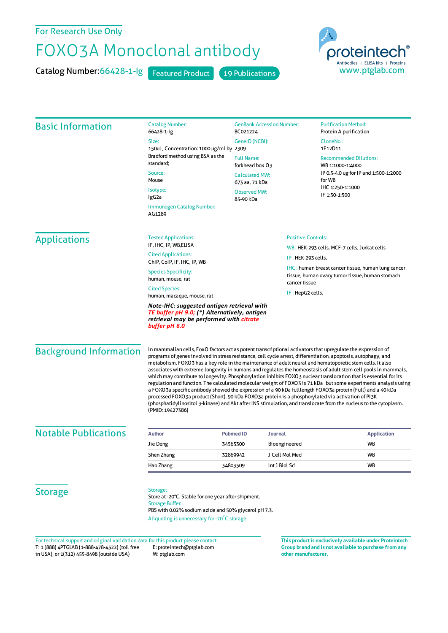## For Research Use Only

## FOXO3A Monoclonal antibody

Catalog Number: 66428-1-lg Featured Product 19 Publications



| <b>Basic Information</b>      | <b>Catalog Number:</b><br>66428-1-lg                                                                                                                                                                                                                                                                                                                                                                                                                                                                                                                                                                                                                                                                                                                                                                                                                                                                                                                                                                                                                              | <b>GenBank Accession Number:</b><br>BC021224<br>GeneID (NCBI):<br><b>Full Name:</b><br>forkhead box 03 |                    | <b>Purification Method:</b><br>Protein A purification                                                         |  |  |
|-------------------------------|-------------------------------------------------------------------------------------------------------------------------------------------------------------------------------------------------------------------------------------------------------------------------------------------------------------------------------------------------------------------------------------------------------------------------------------------------------------------------------------------------------------------------------------------------------------------------------------------------------------------------------------------------------------------------------------------------------------------------------------------------------------------------------------------------------------------------------------------------------------------------------------------------------------------------------------------------------------------------------------------------------------------------------------------------------------------|--------------------------------------------------------------------------------------------------------|--------------------|---------------------------------------------------------------------------------------------------------------|--|--|
|                               | Size:<br>150ul, Concentration: 1000 µg/ml by 2309                                                                                                                                                                                                                                                                                                                                                                                                                                                                                                                                                                                                                                                                                                                                                                                                                                                                                                                                                                                                                 |                                                                                                        |                    | CloneNo.:<br>1F12D11                                                                                          |  |  |
|                               | Bradford method using BSA as the<br>standard;<br>Source:<br>Mouse<br>Isotype:<br>IgG2a                                                                                                                                                                                                                                                                                                                                                                                                                                                                                                                                                                                                                                                                                                                                                                                                                                                                                                                                                                            |                                                                                                        |                    | <b>Recommended Dilutions:</b><br>WB 1:1000-1:4000                                                             |  |  |
|                               |                                                                                                                                                                                                                                                                                                                                                                                                                                                                                                                                                                                                                                                                                                                                                                                                                                                                                                                                                                                                                                                                   | <b>Calculated MW:</b><br>673 aa, 71 kDa                                                                |                    | IP 0.5-4.0 ug for IP and 1:500-1:2000<br>for WB                                                               |  |  |
|                               |                                                                                                                                                                                                                                                                                                                                                                                                                                                                                                                                                                                                                                                                                                                                                                                                                                                                                                                                                                                                                                                                   | <b>Observed MW:</b><br>85-90 kDa                                                                       |                    | IHC 1:250-1:1000<br>IF 1:50-1:500                                                                             |  |  |
|                               | Immunogen Catalog Number:<br>AG1289                                                                                                                                                                                                                                                                                                                                                                                                                                                                                                                                                                                                                                                                                                                                                                                                                                                                                                                                                                                                                               |                                                                                                        |                    |                                                                                                               |  |  |
| <b>Applications</b>           | <b>Tested Applications:</b>                                                                                                                                                                                                                                                                                                                                                                                                                                                                                                                                                                                                                                                                                                                                                                                                                                                                                                                                                                                                                                       | <b>Positive Controls:</b>                                                                              |                    |                                                                                                               |  |  |
|                               | IF, IHC, IP, WB, ELISA                                                                                                                                                                                                                                                                                                                                                                                                                                                                                                                                                                                                                                                                                                                                                                                                                                                                                                                                                                                                                                            |                                                                                                        |                    | WB: HEK-293 cells, MCF-7 cells, Jurkat cells                                                                  |  |  |
|                               | <b>Cited Applications:</b><br>ChIP, CoIP, IF, IHC, IP, WB                                                                                                                                                                                                                                                                                                                                                                                                                                                                                                                                                                                                                                                                                                                                                                                                                                                                                                                                                                                                         |                                                                                                        | IP: HEK-293 cells, |                                                                                                               |  |  |
|                               | <b>Species Specificity:</b><br>human, mouse, rat                                                                                                                                                                                                                                                                                                                                                                                                                                                                                                                                                                                                                                                                                                                                                                                                                                                                                                                                                                                                                  |                                                                                                        | cancer tissue      | <b>IHC</b> : human breast cancer tissue, human lung cancer<br>tissue, human ovary tumor tissue, human stomach |  |  |
|                               | <b>Cited Species:</b>                                                                                                                                                                                                                                                                                                                                                                                                                                                                                                                                                                                                                                                                                                                                                                                                                                                                                                                                                                                                                                             |                                                                                                        |                    |                                                                                                               |  |  |
|                               | IF: HepG2 cells,<br>human, macaque, mouse, rat                                                                                                                                                                                                                                                                                                                                                                                                                                                                                                                                                                                                                                                                                                                                                                                                                                                                                                                                                                                                                    |                                                                                                        |                    |                                                                                                               |  |  |
|                               | Note-IHC: suggested antigen retrieval with<br>TE buffer pH 9.0; (*) Alternatively, antigen<br>retrieval may be performed with citrate<br>buffer pH 6.0                                                                                                                                                                                                                                                                                                                                                                                                                                                                                                                                                                                                                                                                                                                                                                                                                                                                                                            |                                                                                                        |                    |                                                                                                               |  |  |
| <b>Background Information</b> | In mammalian cells, FoxO factors act as potent transcriptional activators that upregulate the expression of<br>programs of genes involved in stress resistance, cell cycle arrest, differentiation, apoptosis, autophagy, and<br>metabolism. FOXO3 has a key role in the maintenance of adult neural and hematopoietic stem cells. It also<br>associates with extreme longevity in humans and regulates the homeostasis of adult stem cell pools in mammals,<br>which may contribute to longevity. Phosphorylation inhibits FOXO3 nuclear translocation that is essential for its<br>regulation and function. The calculated molecular weight of FOXO3 is 71 kDa but some experiments analysis using<br>a FOXO3a specific antibody showed the expression of a 90 kDa fulllength FOXO3a protein (Full) and a 40 kDa<br>processed FOXO3a product (Short). 90 kDa FOXO3a protein is a phosphorylated via activation of PI3K<br>(phosphatidylinositol 3-kinase) and Akt after INS stimulation, and translocate from the nucleus to the cytoplasm.<br>(PMID: 19427386) |                                                                                                        |                    |                                                                                                               |  |  |
| <b>Notable Publications</b>   | <b>Author</b>                                                                                                                                                                                                                                                                                                                                                                                                                                                                                                                                                                                                                                                                                                                                                                                                                                                                                                                                                                                                                                                     | <b>Pubmed ID</b><br>Journal                                                                            |                    | <b>Application</b>                                                                                            |  |  |
|                               | Jie Deng                                                                                                                                                                                                                                                                                                                                                                                                                                                                                                                                                                                                                                                                                                                                                                                                                                                                                                                                                                                                                                                          | 34565300                                                                                               | Bioengineered      | WB                                                                                                            |  |  |
|                               | Shen Zhang                                                                                                                                                                                                                                                                                                                                                                                                                                                                                                                                                                                                                                                                                                                                                                                                                                                                                                                                                                                                                                                        | 32869942                                                                                               | J Cell Mol Med     | WB                                                                                                            |  |  |
|                               | Hao Zhang                                                                                                                                                                                                                                                                                                                                                                                                                                                                                                                                                                                                                                                                                                                                                                                                                                                                                                                                                                                                                                                         | 34803509                                                                                               | Int J Biol Sci     | WB                                                                                                            |  |  |
| <b>Storage</b>                | Storage:<br>Store at -20°C. Stable for one year after shipment.<br><b>Storage Buffer:</b><br>PBS with 0.02% sodium azide and 50% glycerol pH 7.3.<br>Aliquoting is unnecessary for -20°C storage                                                                                                                                                                                                                                                                                                                                                                                                                                                                                                                                                                                                                                                                                                                                                                                                                                                                  |                                                                                                        |                    |                                                                                                               |  |  |

T: 1 (888) 4PTGLAB (1-888-478-4522) (toll free in USA), or 1(312) 455-8498 (outside USA) E: proteintech@ptglab.com W: ptglab.com Fortechnical support and original validation data forthis product please contact: **This productis exclusively available under Proteintech**

**Group brand and is not available to purchase from any other manufacturer.**